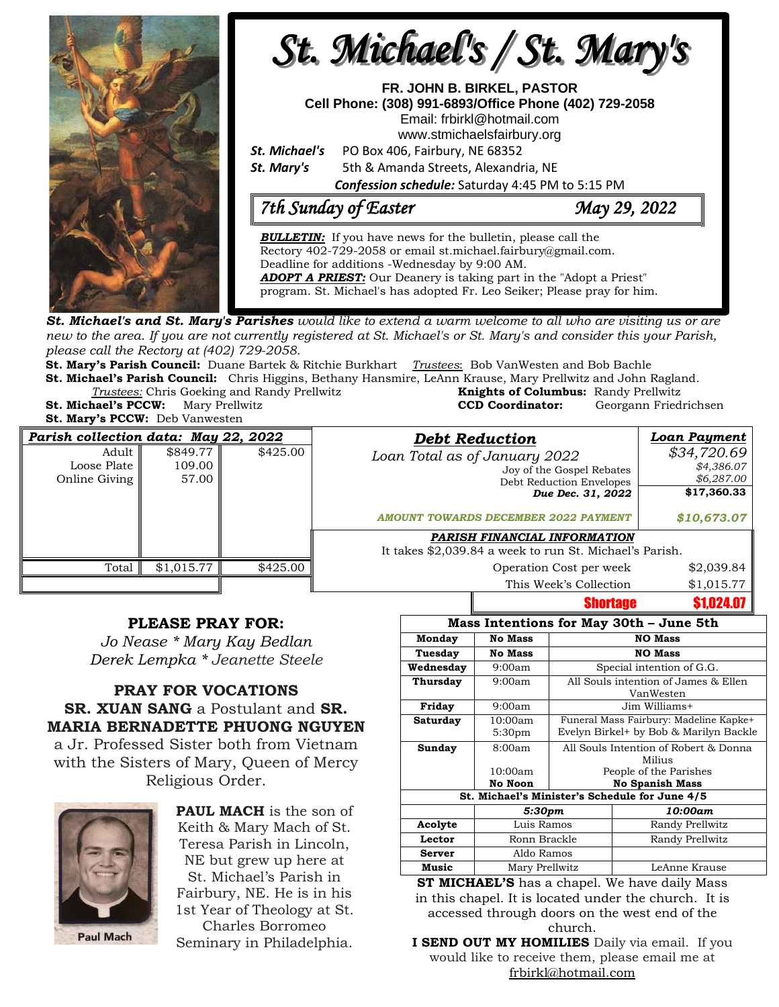

new to the area. If you are not currently registered at St. Michael's or St. Mary's and consider this your Parish, *please call the Rectory at (402) 729-2058.* 

**St. Mary's Parish Council:** Duane Bartek & Ritchie Burkhart *Trustees*: Bob VanWesten and Bob Bachle

**St. Michael's Parish Council:** Chris Higgins, Bethany Hansmire, LeAnn Krause, Mary Prellwitz and John Ragland. **Trustees:** Chris Goeking and Randy Prellwitz

**St. Mary's PCCW:** Deb Vanwesten

| <i>Trustees:</i> Chris Goeking and Randy Prellwitz |                  | <b>Knights of Columbus:</b> Randy Prellwitz |  |
|----------------------------------------------------|------------------|---------------------------------------------|--|
| <b>St. Michael's PCCW:</b> Mary Prellwitz          | CCD Coordinator: | Georgann Friedrichsen                       |  |
| <b>St. Mary's PCCW:</b> Deb Vanwesten              |                  |                                             |  |

| Parish collection data: May 22, 2022    |                             |          | <b>Debt Reduction</b>                                                                                                                                      | Loan Payment                                                          |
|-----------------------------------------|-----------------------------|----------|------------------------------------------------------------------------------------------------------------------------------------------------------------|-----------------------------------------------------------------------|
| Adult  <br>Loose Plate<br>Online Giving | \$849.77<br>109.00<br>57.00 | \$425.00 | Loan Total as of January 2022<br>Joy of the Gospel Rebates<br>Debt Reduction Envelopes<br>Due Dec. 31, 2022<br><b>AMOUNT TOWARDS DECEMBER 2022 PAYMENT</b> | \$34,720.69<br>\$4,386.07<br>\$6,287.00<br>\$17,360.33<br>\$10,673.07 |
|                                         |                             |          | PARISH FINANCIAL INFORMATION<br>It takes \$2,039.84 a week to run St. Michael's Parish.                                                                    |                                                                       |
| Total                                   | \$1,015.77                  | \$425.00 | Operation Cost per week                                                                                                                                    | \$2,039.84                                                            |
|                                         |                             |          | This Week's Collection                                                                                                                                     | \$1,015.77                                                            |

## **PLEASE PRAY FOR:**

*Jo Nease \* Mary Kay Bedlan Derek Lempka \* Jeanette Steele*

**PRAY FOR VOCATIONS SR. XUAN SANG** a Postulant and **SR. MARIA BERNADETTE PHUONG NGUYEN** a Jr. Professed Sister both from Vietnam with the Sisters of Mary, Queen of Mercy Religious Order.



**PAUL MACH** is the son of Keith & Mary Mach of St. Teresa Parish in Lincoln, NE but grew up here at St. Michael's Parish in Fairbury, NE. He is in his 1st Year of Theology at St. Charles Borromeo

**Paul Mach** 

Seminary in Philadelphia.

| Mass Intentions for May 30th - June 5th        |                               |                                                                                  |                 |  |  |
|------------------------------------------------|-------------------------------|----------------------------------------------------------------------------------|-----------------|--|--|
| Monday                                         | <b>No Mass</b>                | <b>NO Mass</b>                                                                   |                 |  |  |
| Tuesday                                        | <b>No Mass</b>                | <b>NO Mass</b>                                                                   |                 |  |  |
| Wednesday                                      | 9:00am                        | Special intention of G.G.                                                        |                 |  |  |
| Thursday                                       | 9:00am                        | All Souls intention of James & Ellen<br>VanWesten                                |                 |  |  |
| Friday                                         | 9:00am                        | Jim Williams+                                                                    |                 |  |  |
| Saturday                                       | 10:00am<br>5:30 <sub>pm</sub> | Funeral Mass Fairbury: Madeline Kapke+<br>Evelyn Birkel+ by Bob & Marilyn Backle |                 |  |  |
| Sunday                                         | 8:00am<br>10:00am             | All Souls Intention of Robert & Donna<br>Milius<br>People of the Parishes        |                 |  |  |
|                                                | No Noon                       | <b>No Spanish Mass</b>                                                           |                 |  |  |
| St. Michael's Minister's Schedule for June 4/5 |                               |                                                                                  |                 |  |  |
|                                                | 5:30pm                        |                                                                                  | 10:00am         |  |  |
| Acolyte                                        | Luis Ramos                    |                                                                                  | Randy Prellwitz |  |  |
| Lector                                         | Ronn Brackle                  |                                                                                  | Randy Prellwitz |  |  |
| Server                                         | Aldo Ramos                    |                                                                                  |                 |  |  |
| Music                                          | Mary Prellwitz                |                                                                                  | LeAnne Krause   |  |  |

**Shortage \$1,024.07** 

**ST MICHAEL'S** has a chapel. We have daily Mass in this chapel. It is located under the church. It is accessed through doors on the west end of the church.

**I SEND OUT MY HOMILIES** Daily via email. If you would like to receive them, please email me at [frbirkl@hotmail.com](mailto:frbirkl@hotmail.com)